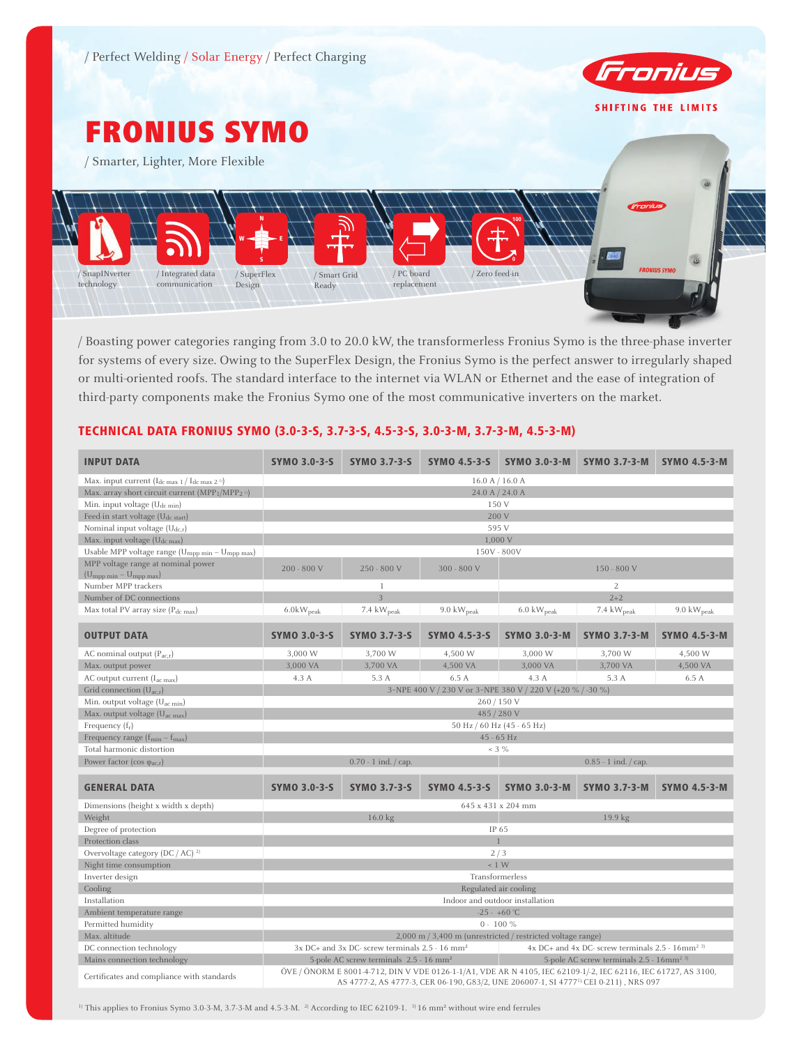

# FRONIUS SYMO

/ Smarter, Lighter, More Flexible



/ Boasting power categories ranging from 3.0 to 20.0 kW, the transformerless Fronius Symo is the three-phase inverter for systems of every size. Owing to the SuperFlex Design, the Fronius Symo is the perfect answer to irregularly shaped or multi-oriented roofs. The standard interface to the internet via WLAN or Ethernet and the ease of integration of third-party components make the Fronius Symo one of the most communicative inverters on the market.

## TECHNICAL DATA FRONIUS SYMO (3.0-3-S, 3.7-3-S, 4.5-3-S, 3.0-3-M, 3.7-3-M, 4.5-3-M)

| <b>INPUT DATA</b>                                                                                        | <b>SYMO 3.0-3-S</b>                                                                                                                                                                                                 | <b>SYMO 3.7-3-S</b>                                        | <b>SYMO 4.5-3-S</b>                                         | <b>SYMO 3.0-3-M</b>                                               | SYMO 3.7-3-M                                                     | <b>SYMO 4.5-3-M</b>     |  |
|----------------------------------------------------------------------------------------------------------|---------------------------------------------------------------------------------------------------------------------------------------------------------------------------------------------------------------------|------------------------------------------------------------|-------------------------------------------------------------|-------------------------------------------------------------------|------------------------------------------------------------------|-------------------------|--|
| Max. input current $(I_{dc \max 1}/I_{dc \max 2})$                                                       |                                                                                                                                                                                                                     |                                                            | 16.0 A / 16.0 A                                             |                                                                   |                                                                  |                         |  |
| Max. array short circuit current (MPP <sub>1</sub> /MPP <sub>2</sub> <sup>11</sup> )                     |                                                                                                                                                                                                                     | 24.0 A / 24.0 A                                            |                                                             |                                                                   |                                                                  |                         |  |
| Min. input voltage $(U_{dc,min})$                                                                        |                                                                                                                                                                                                                     |                                                            | 150 V                                                       |                                                                   |                                                                  |                         |  |
| Feed-in start voltage (U <sub>dc start</sub> )                                                           |                                                                                                                                                                                                                     |                                                            | 200 V                                                       |                                                                   |                                                                  |                         |  |
| Nominal input voltage $(U_{dc,r})$                                                                       |                                                                                                                                                                                                                     |                                                            | 595 V                                                       |                                                                   |                                                                  |                         |  |
| Max. input voltage $(U_{dc max})$                                                                        |                                                                                                                                                                                                                     |                                                            | 1,000 V                                                     |                                                                   |                                                                  |                         |  |
| Usable MPP voltage range $(\mathbf{U}_{\text{mpp}\; \text{min}} - \mathbf{U}_{\text{mpp}\; \text{max}})$ |                                                                                                                                                                                                                     |                                                            | 150V - 800V                                                 |                                                                   |                                                                  |                         |  |
| MPP voltage range at nominal power                                                                       | $200 - 800$ V                                                                                                                                                                                                       | 250 - 800 V                                                | 300 - 800 V                                                 |                                                                   | 150 - 800 V                                                      |                         |  |
| $(U_{mpp\ min} - U_{mpp\ max})$                                                                          |                                                                                                                                                                                                                     |                                                            |                                                             |                                                                   |                                                                  |                         |  |
| Number MPP trackers                                                                                      |                                                                                                                                                                                                                     | 1                                                          |                                                             |                                                                   | 2                                                                |                         |  |
| Number of DC connections                                                                                 |                                                                                                                                                                                                                     | 3                                                          |                                                             |                                                                   | $2 + 2$                                                          |                         |  |
| Max total PV array size (P <sub>dc max</sub> )                                                           | $6.0$ <sub>k</sub> $W_{peak}$                                                                                                                                                                                       | 7.4 kW <sub>peak</sub>                                     | $9.0 \text{ kW}_{\text{peak}}$                              | $6.0 \text{ kW}_{\text{peak}}$                                    | 7.4 kW <sub>peak</sub>                                           | $9.0 \text{ kW}_{peak}$ |  |
| <b>OUTPUT DATA</b>                                                                                       | <b>SYMO 3.0-3-S</b>                                                                                                                                                                                                 | <b>SYMO 3.7-3-S</b>                                        | <b>SYMO 4.5-3-S</b>                                         | <b>SYMO 3.0-3-M</b><br><b>SYMO 3.7-3-M</b><br><b>SYMO 4.5-3-M</b> |                                                                  |                         |  |
| AC nominal output $(P_{acx})$                                                                            | 3,000 W                                                                                                                                                                                                             | 3.700 W                                                    | 4,500 W                                                     | 3.000 W                                                           | 3,700 W                                                          | 4,500 W                 |  |
| Max. output power                                                                                        | 3,000 VA                                                                                                                                                                                                            | 3,700 VA                                                   | 4,500 VA                                                    | 3,000 VA                                                          | 3,700 VA                                                         | 4,500 VA                |  |
| AC output current $(I_{ac max})$                                                                         | 4.3 A                                                                                                                                                                                                               | 5.3 A                                                      | 6.5 A                                                       | 4.3 A                                                             | 5.3 A                                                            | 6.5 A                   |  |
| Grid connection $(U_{ac,r})$                                                                             |                                                                                                                                                                                                                     |                                                            | 3~NPE 400 V / 230 V or 3~NPE 380 V / 220 V (+20 % / -30 %)  |                                                                   |                                                                  |                         |  |
| Min. output voltage (U <sub>ac min</sub> )                                                               |                                                                                                                                                                                                                     |                                                            | 260/150V                                                    |                                                                   |                                                                  |                         |  |
| Max. output voltage $(U_{ac max})$                                                                       | 485 / 280 V                                                                                                                                                                                                         |                                                            |                                                             |                                                                   |                                                                  |                         |  |
| Frequency $(f_r)$                                                                                        |                                                                                                                                                                                                                     |                                                            | 50 Hz / 60 Hz (45 - 65 Hz)                                  |                                                                   |                                                                  |                         |  |
| Frequency range $(f_{min} - f_{max})$                                                                    |                                                                                                                                                                                                                     |                                                            | 45 - 65 Hz                                                  |                                                                   |                                                                  |                         |  |
| Total harmonic distortion                                                                                |                                                                                                                                                                                                                     |                                                            | $< 3 \%$                                                    |                                                                   |                                                                  |                         |  |
| Power factor (cos $\varphi_{ac,r}$ )                                                                     |                                                                                                                                                                                                                     | $0.70 - 1$ ind. $\frac{1}{2}$ cap.                         |                                                             |                                                                   | $0.85 - 1$ ind. / cap.                                           |                         |  |
| <b>GENERAL DATA</b>                                                                                      | <b>SYMO 3.0-3-S</b><br><b>SYMO 3.7-3-S</b><br><b>SYMO 4.5-3-S</b><br><b>SYMO 3.0-3-M</b><br><b>SYMO 3.7-3-M</b>                                                                                                     |                                                            |                                                             |                                                                   | <b>SYMO 4.5-3-M</b>                                              |                         |  |
| Dimensions (height x width x depth)                                                                      |                                                                                                                                                                                                                     |                                                            | 645 x 431 x 204 mm                                          |                                                                   |                                                                  |                         |  |
| Weight                                                                                                   |                                                                                                                                                                                                                     | 16.0 kg                                                    |                                                             |                                                                   | 19.9 kg                                                          |                         |  |
| Degree of protection                                                                                     |                                                                                                                                                                                                                     |                                                            | IP 65                                                       |                                                                   |                                                                  |                         |  |
| Protection class                                                                                         |                                                                                                                                                                                                                     |                                                            | $\mathbf{1}$                                                |                                                                   |                                                                  |                         |  |
| Overvoltage category (DC / AC) $^{2}$                                                                    |                                                                                                                                                                                                                     |                                                            | 2/3                                                         |                                                                   |                                                                  |                         |  |
| Night time consumption                                                                                   |                                                                                                                                                                                                                     |                                                            | $\leq 1$ W                                                  |                                                                   |                                                                  |                         |  |
| Inverter design                                                                                          |                                                                                                                                                                                                                     |                                                            | Transformerless                                             |                                                                   |                                                                  |                         |  |
| Cooling                                                                                                  | Regulated air cooling                                                                                                                                                                                               |                                                            |                                                             |                                                                   |                                                                  |                         |  |
| Installation                                                                                             |                                                                                                                                                                                                                     |                                                            | Indoor and outdoor installation                             |                                                                   |                                                                  |                         |  |
| Ambient temperature range                                                                                | $-25 - +60$ °C                                                                                                                                                                                                      |                                                            |                                                             |                                                                   |                                                                  |                         |  |
| Permitted humidity                                                                                       | $0 - 100 \%$                                                                                                                                                                                                        |                                                            |                                                             |                                                                   |                                                                  |                         |  |
| Max. altitude                                                                                            |                                                                                                                                                                                                                     |                                                            | 2,000 m / 3,400 m (unrestricted / restricted voltage range) |                                                                   |                                                                  |                         |  |
| DC connection technology                                                                                 |                                                                                                                                                                                                                     | 3x DC+ and 3x DC- screw terminals 2.5 - 16 mm <sup>2</sup> |                                                             |                                                                   | $4x$ DC+ and $4x$ DC- screw terminals 2.5 - 16mm <sup>2 3)</sup> |                         |  |
| Mains connection technology                                                                              | 5-pole AC screw terminals 2.5 - 16 mm <sup>2</sup><br>5-pole AC screw terminals 2.5 - 16mm <sup>2 3)</sup>                                                                                                          |                                                            |                                                             |                                                                   |                                                                  |                         |  |
| Certificates and compliance with standards                                                               | ÖVE / ÖNORM E 8001-4-712, DIN V VDE 0126-1-1/A1, VDE AR N 4105, IEC 62109-1/-2, IEC 62116, IEC 61727, AS 3100,<br>AS 4777-2, AS 4777-3, CER 06-190, G83/2, UNE 206007-1, SI 4777 <sup>1),</sup> CEI 0-211), NRS 097 |                                                            |                                                             |                                                                   |                                                                  |                         |  |

<sup>1)</sup> This applies to Fronius Symo 3.0-3-M, 3.7-3-M and 4.5-3-M. <sup>2)</sup> According to IEC 62109-1. <sup>3</sup>16 mm<sup>2</sup> without wire end ferrules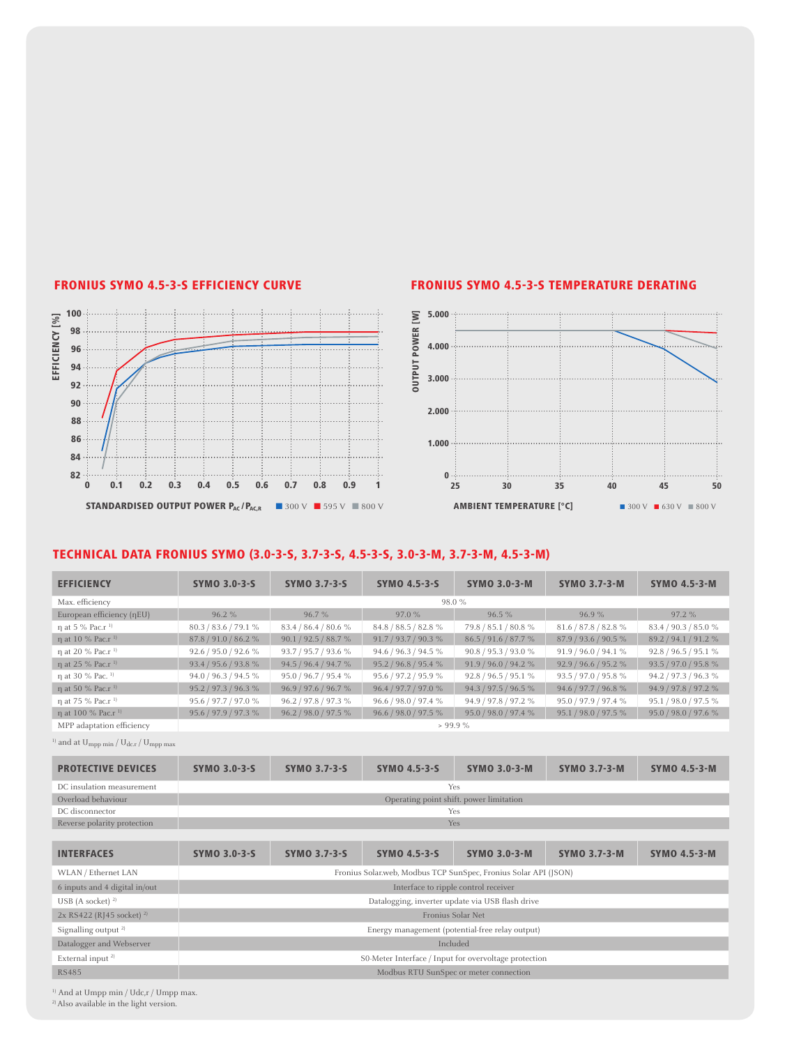100





### TECHNICAL DATA FRONIUS SYMO (3.0-3-S, 3.7-3-S, 4.5-3-S, 3.0-3-M, 3.7-3-M, 4.5-3-M)

| $\sim$                                                                                                  |                          |                      | <b>J.UUU</b>                            |                      |                      |                      |
|---------------------------------------------------------------------------------------------------------|--------------------------|----------------------|-----------------------------------------|----------------------|----------------------|----------------------|
| EFFICIENCY [%]<br>98<br>$96 -$                                                                          |                          |                      | 4.000                                   |                      |                      |                      |
| 94<br>92.                                                                                               |                          |                      | <b>OUTPUT POWER [W</b><br>3.000         |                      |                      |                      |
| $90 -$<br>$88 -$                                                                                        |                          |                      | 2.000                                   |                      |                      |                      |
| 86<br>84                                                                                                |                          |                      | 1.000                                   |                      |                      |                      |
| $82 -$                                                                                                  |                          |                      | $0 \cdot \cdots$                        |                      |                      |                      |
| 0.2<br>$\bf{0}$<br>0.1                                                                                  | 0.3<br>0.4<br>0.5<br>0.6 | 0.7<br>0.8<br>0.9    |                                         | 25<br>30             | 35<br>40             | 45<br>50             |
| TECHNICAL DATA FRONIUS SYMO (3.0-3-S, 3.7-3-S, 4.5-3-S, 3.0-3-M, 3.7-3-M, 4.5-3-M)<br><b>EFFICIENCY</b> | <b>SYMO 3.0-3-S</b>      | <b>SYMO 3.7-3-S</b>  | <b>SYMO 4.5-3-S</b>                     | <b>SYMO 3.0-3-M</b>  | <b>SYMO 3.7-3-M</b>  | <b>SYMO 4.5-3-M</b>  |
| Max. efficiency                                                                                         |                          |                      | 98.0 %                                  |                      |                      |                      |
| European efficiency (ηEU)                                                                               | 96.2%                    | 96.7%                | 97.0 %                                  | 96.5 %               | 96.9%                | 97.2 %               |
| η at 5 % Pac.r <sup>1)</sup>                                                                            | 80.3 / 83.6 / 79.1 %     | 83.4 / 86.4 / 80.6 % | 84.8 / 88.5 / 82.8 %                    | 79.8 / 85.1 / 80.8 % | 81.6 / 87.8 / 82.8 % | 83.4 / 90.3 / 85.0 % |
| η at 10 % Pac.r <sup>1)</sup>                                                                           | 87.8 / 91.0 / 86.2 %     | 90.1 / 92.5 / 88.7 % | 91.7 / 93.7 / 90.3 %                    | 86.5 / 91.6 / 87.7 % | 87.9 / 93.6 / 90.5 % | 89.2 / 94.1 / 91.2 % |
| η at 20 % Pac.r <sup>1)</sup>                                                                           | 92.6 / 95.0 / 92.6 %     | 93.7 / 95.7 / 93.6 % | 94.6 / 96.3 / 94.5 %                    | 90.8 / 95.3 / 93.0 % | 91.9 / 96.0 / 94.1 % | 92.8 / 96.5 / 95.1 % |
| η at 25 % Pac.r <sup>1)</sup>                                                                           | 93.4 / 95.6 / 93.8 %     | 94.5 / 96.4 / 94.7 % | 95.2 / 96.8 / 95.4 %                    | 91.9 / 96.0 / 94.2 % | 92.9 / 96.6 / 95.2 % | 93.5 / 97.0 / 95.8 % |
| η at 30 % Pac. <sup>1)</sup>                                                                            | 94.0 / 96.3 / 94.5 %     | 95.0 / 96.7 / 95.4 % | 95.6 / 97.2 / 95.9 %                    | 92.8 / 96.5 / 95.1 % | 93.5 / 97.0 / 95.8 % | 94.2 / 97.3 / 96.3 % |
| η at 50 % Pac.r <sup>1)</sup>                                                                           | 95.2 / 97.3 / 96.3 %     | 96.9 / 97.6 / 96.7 % | 96.4 / 97.7 / 97.0 %                    | 94.3 / 97.5 / 96.5 % | 94.6 / 97.7 / 96.8 % | 94.9 / 97.8 / 97.2 % |
| η at 75 % Pac.r <sup>1</sup>                                                                            | 95.6 / 97.7 / 97.0 %     | 96.2 / 97.8 / 97.3 % | 96.6 / 98.0 / 97.4 %                    | 94.9 / 97.8 / 97.2 % | 95.0 / 97.9 / 97.4 % | 95.1 / 98.0 / 97.5 % |
| η at 100 % Pac.r <sup>1)</sup>                                                                          | 95.6 / 97.9 / 97.3 %     | 96.2 / 98.0 / 97.5 % | 96.6 / 98.0 / 97.5 %                    | 95.0 / 98.0 / 97.4 % | 95.1 / 98.0 / 97.5 % | 95.0 / 98.0 / 97.6 % |
| MPP adaptation efficiency                                                                               |                          |                      | > 99.9%                                 |                      |                      |                      |
| and at U <sub>mpp min</sub> / U <sub>dc.r</sub> / U <sub>mpp max</sub>                                  |                          |                      |                                         |                      |                      |                      |
| <b>PROTECTIVE DEVICES</b>                                                                               | <b>SYMO 3.0-3-5</b>      | <b>SYMO 3.7-3-S</b>  | <b>SYMO 4.5-3-S</b>                     | <b>SYMO 3.0-3-M</b>  | <b>SYMO 3.7-3-M</b>  | <b>SYMO 4.5-3-M</b>  |
| DC insulation measurement                                                                               |                          |                      | Yes                                     |                      |                      |                      |
| Overload behaviour                                                                                      |                          |                      | Operating point shift. power limitation |                      |                      |                      |
| DC disconnector                                                                                         |                          | Yes                  |                                         |                      |                      |                      |
| Reverse polarity protection                                                                             |                          |                      |                                         | Yes                  |                      |                      |

| <b>PROTECTIVE DEVICES</b>              | <b>SYMO 3.0-3-S</b>                                             | <b>SYMO 3.7-3-S</b> | <b>SYMO 4.5-3-S</b>                     | <b>SYMO 3.0-3-M</b> | <b>SYMO 3.7-3-M</b> | <b>SYMO 4.5-3-M</b> |
|----------------------------------------|-----------------------------------------------------------------|---------------------|-----------------------------------------|---------------------|---------------------|---------------------|
| DC insulation measurement              |                                                                 |                     | Yes                                     |                     |                     |                     |
| Overload behaviour                     |                                                                 |                     | Operating point shift. power limitation |                     |                     |                     |
| DC disconnector                        |                                                                 |                     | Yes                                     |                     |                     |                     |
| Reverse polarity protection            |                                                                 |                     | <b>Yes</b>                              |                     |                     |                     |
|                                        |                                                                 |                     |                                         |                     |                     |                     |
| <b>INTERFACES</b>                      | <b>SYMO 3.0-3-S</b>                                             | <b>SYMO 3.7-3-S</b> | <b>SYMO 4.5-3-S</b>                     | <b>SYMO 3.0-3-M</b> | <b>SYMO 3.7-3-M</b> | <b>SYMO 4.5-3-M</b> |
| WLAN / Ethernet LAN                    | Fronius Solar.web, Modbus TCP SunSpec, Fronius Solar API (JSON) |                     |                                         |                     |                     |                     |
| 6 inputs and 4 digital in/out          | Interface to ripple control receiver                            |                     |                                         |                     |                     |                     |
| USB (A socket) $^{2}$                  | Datalogging, inverter update via USB flash drive                |                     |                                         |                     |                     |                     |
| $2x$ RS422 (RJ45 socket) <sup>2)</sup> | Fronius Solar Net                                               |                     |                                         |                     |                     |                     |
| Signalling output <sup>2)</sup>        | Energy management (potential-free relay output)                 |                     |                                         |                     |                     |                     |
| Datalogger and Webserver               | Included                                                        |                     |                                         |                     |                     |                     |
| External input <sup>2)</sup>           | S0-Meter Interface / Input for overvoltage protection           |                     |                                         |                     |                     |                     |
| <b>RS485</b>                           | Modbus RTU SunSpec or meter connection                          |                     |                                         |                     |                     |                     |

<sup>1)</sup> And at Umpp min / Udc,r / Umpp max.

<sup>2)</sup> Also available in the light version.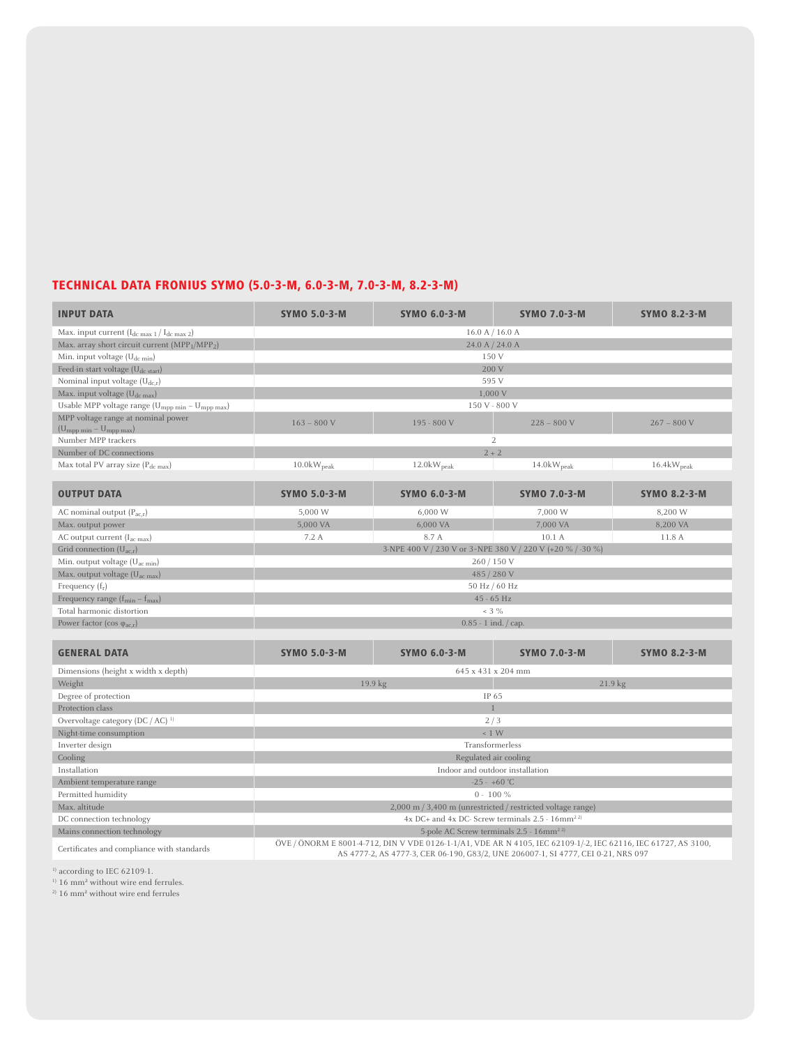# TECHNICAL DATA FRONIUS SYMO (5.0-3-M, 6.0-3-M, 7.0-3-M, 8.2-3-M)

| <b>INPUT DATA</b>                                                      | <b>SYMO 5.0-3-M</b>                                        | <b>SYMO 6.0-3-M</b>                                                                                                                                                                                 | <b>SYMO 7.0-3-M</b>              | <b>SYMO 8.2-3-M</b>    |  |  |  |
|------------------------------------------------------------------------|------------------------------------------------------------|-----------------------------------------------------------------------------------------------------------------------------------------------------------------------------------------------------|----------------------------------|------------------------|--|--|--|
| Max. input current $(I_{dc max 1}/I_{dc max 2})$                       |                                                            | 16.0 A / 16.0 A                                                                                                                                                                                     |                                  |                        |  |  |  |
| Max. array short circuit current (MPP <sub>1</sub> /MPP <sub>2</sub> ) |                                                            | 24.0 A / 24.0 A                                                                                                                                                                                     |                                  |                        |  |  |  |
| Min. input voltage (U <sub>dc min</sub> )                              |                                                            | 150 V                                                                                                                                                                                               |                                  |                        |  |  |  |
| Feed-in start voltage (U <sub>dc start</sub> )                         |                                                            | 200 V                                                                                                                                                                                               |                                  |                        |  |  |  |
| Nominal input voltage $(U_{dc,r})$                                     |                                                            | 595 V                                                                                                                                                                                               |                                  |                        |  |  |  |
| Max. input voltage $(U_{dc\ max})$                                     |                                                            | 1,000 V                                                                                                                                                                                             |                                  |                        |  |  |  |
| Usable MPP voltage range ( $U_{mpp\;min} - U_{mpp\;max}$ )             |                                                            | 150 V - 800 V                                                                                                                                                                                       |                                  |                        |  |  |  |
| MPP voltage range at nominal power                                     |                                                            |                                                                                                                                                                                                     |                                  |                        |  |  |  |
| $(U_{mpp \ min} - U_{mpp \ max})$                                      | $163 - 800$ V                                              | 195 - 800 V                                                                                                                                                                                         | $228 - 800$ V                    | $267 - 800$ V          |  |  |  |
| Number MPP trackers                                                    |                                                            |                                                                                                                                                                                                     | $\overline{2}$                   |                        |  |  |  |
| Number of DC connections                                               |                                                            | $2 + 2$                                                                                                                                                                                             |                                  |                        |  |  |  |
| Max total PV array size $(P_{dc \, max})$                              | $10.0$ k $W_{\text{peak}}$                                 | 12.0kW <sub>peak</sub>                                                                                                                                                                              | $14.0 \text{kW}$ <sub>peak</sub> | 16.4kW <sub>peak</sub> |  |  |  |
| <b>OUTPUT DATA</b>                                                     | <b>SYMO 5.0-3-M</b>                                        | <b>SYMO 6.0-3-M</b>                                                                                                                                                                                 | <b>SYMO 7.0-3-M</b>              | <b>SYMO 8.2-3-M</b>    |  |  |  |
| AC nominal output $(P_{ac,r})$                                         | 5,000 W                                                    | 6,000 W                                                                                                                                                                                             | 7,000 W                          | 8,200 W                |  |  |  |
| Max. output power                                                      | 5,000 VA                                                   | 6,000 VA                                                                                                                                                                                            | 7,000 VA                         | 8,200 VA               |  |  |  |
| AC output current (I <sub>ac max</sub> )                               | 7.2 A                                                      | 8.7 A                                                                                                                                                                                               | 10.1 A                           | 11.8 A                 |  |  |  |
| Grid connection $(U_{ac,r})$                                           | 3-NPE 400 V / 230 V or 3~NPE 380 V / 220 V (+20 % / -30 %) |                                                                                                                                                                                                     |                                  |                        |  |  |  |
| Min. output voltage $(U_{ac min})$                                     | 260 / 150 V                                                |                                                                                                                                                                                                     |                                  |                        |  |  |  |
| Max. output voltage (U <sub>ac max</sub> )                             | 485 / 280 V                                                |                                                                                                                                                                                                     |                                  |                        |  |  |  |
| Frequency $(f_r)$                                                      | 50 Hz / 60 Hz                                              |                                                                                                                                                                                                     |                                  |                        |  |  |  |
| Frequency range $(f_{min} - f_{max})$                                  | 45 - 65 Hz                                                 |                                                                                                                                                                                                     |                                  |                        |  |  |  |
| Total harmonic distortion                                              | $< 3 \%$                                                   |                                                                                                                                                                                                     |                                  |                        |  |  |  |
| Power factor (cos $\varphi_{ac,r}$ )                                   |                                                            | $0.85 - 1$ ind. / cap.                                                                                                                                                                              |                                  |                        |  |  |  |
|                                                                        |                                                            |                                                                                                                                                                                                     |                                  |                        |  |  |  |
| <b>GENERAL DATA</b>                                                    | <b>SYMO 5.0-3-M</b>                                        | <b>SYMO 6.0-3-M</b>                                                                                                                                                                                 | <b>SYMO 7.0-3-M</b>              | <b>SYMO 8.2-3-M</b>    |  |  |  |
| Dimensions (height x width x depth)                                    |                                                            | 645 x 431 x 204 mm                                                                                                                                                                                  |                                  |                        |  |  |  |
| Weight                                                                 |                                                            | 19.9 kg                                                                                                                                                                                             | 21.9 kg                          |                        |  |  |  |
| Degree of protection                                                   |                                                            | IP 65                                                                                                                                                                                               |                                  |                        |  |  |  |
| Protection class                                                       |                                                            | $\overline{1}$                                                                                                                                                                                      |                                  |                        |  |  |  |
| Overvoltage category $(DC / AC)^{-1}$                                  |                                                            | 2/3                                                                                                                                                                                                 |                                  |                        |  |  |  |
| Night-time consumption                                                 |                                                            | $< 1$ W                                                                                                                                                                                             |                                  |                        |  |  |  |
| Inverter design                                                        | Transformerless                                            |                                                                                                                                                                                                     |                                  |                        |  |  |  |
| Cooling                                                                | Regulated air cooling                                      |                                                                                                                                                                                                     |                                  |                        |  |  |  |
| Installation                                                           | Indoor and outdoor installation                            |                                                                                                                                                                                                     |                                  |                        |  |  |  |
| Ambient temperature range                                              |                                                            | $-25 - +60$ °C                                                                                                                                                                                      |                                  |                        |  |  |  |
| Permitted humidity                                                     |                                                            | $0 - 100 \%$                                                                                                                                                                                        |                                  |                        |  |  |  |
| Max. altitude                                                          |                                                            | 2,000 m / 3,400 m (unrestricted / restricted voltage range)                                                                                                                                         |                                  |                        |  |  |  |
| DC connection technology                                               |                                                            | $4x$ DC+ and $4x$ DC- Screw terminals 2.5 - $16$ mm <sup>22)</sup>                                                                                                                                  |                                  |                        |  |  |  |
| Mains connection technology                                            | 5-pole AC Screw terminals 2.5 - 16mm <sup>22)</sup>        |                                                                                                                                                                                                     |                                  |                        |  |  |  |
| Certificates and compliance with standards                             |                                                            | ÖVE / ÖNORM E 8001-4-712, DIN V VDE 0126-1-1/A1, VDE AR N 4105, IEC 62109-1/-2, IEC 62116, IEC 61727, AS 3100,<br>AS 4777-2, AS 4777-3, CER 06-190, G83/2, UNE 206007-1, SI 4777, CEI 0-21, NRS 097 |                                  |                        |  |  |  |

<sup>1)</sup> according to IEC 62109-1.

<sup>1)</sup> 16 mm<sup>2</sup> without wire end ferrules.

2) 16 mm² without wire end ferrules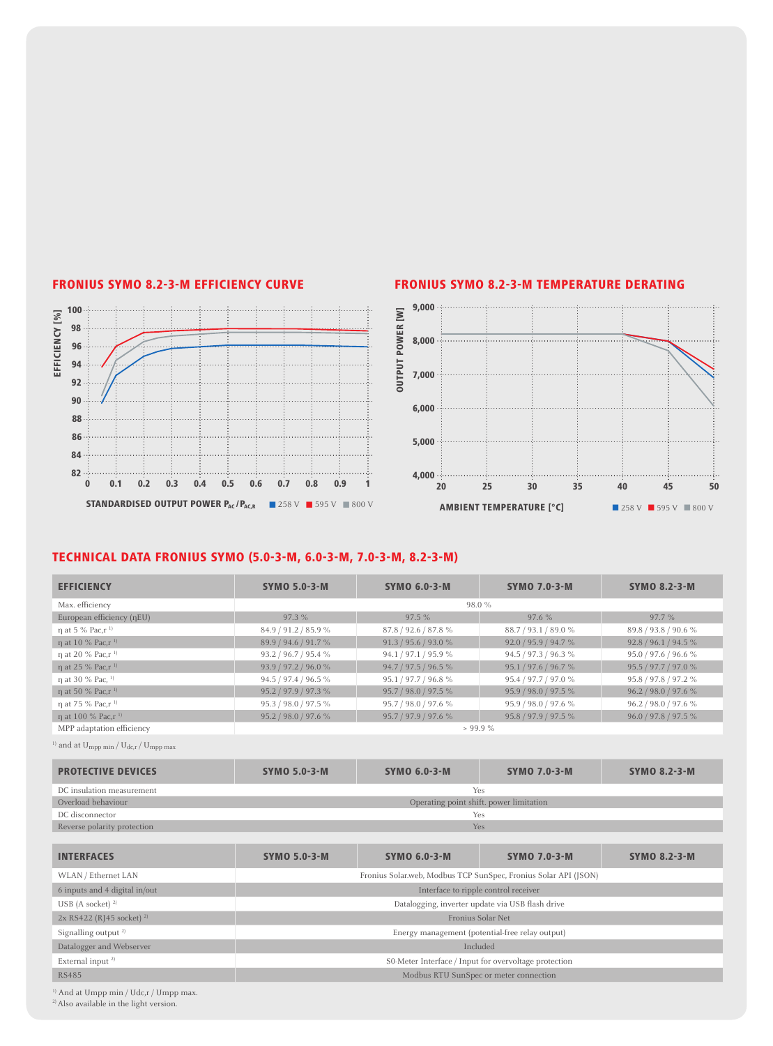

#### FRONIUS SYMO 8.2-3-M EFFICIENCY CURVE FRONIUS SYMO 8.2-3-M TEMPERATURE DERATING



### TECHNICAL DATA FRONIUS SYMO (5.0-3-M, 6.0-3-M, 7.0-3-M, 8.2-3-M)

| <b>EFFICIENCY</b>                         | <b>SYMO 5.0-3-M</b>                                             | <b>SYMO 6.0-3-M</b>                                   | <b>SYMO 7.0-3-M</b>  | <b>SYMO 8.2-3-M</b>  |  |  |  |
|-------------------------------------------|-----------------------------------------------------------------|-------------------------------------------------------|----------------------|----------------------|--|--|--|
| Max. efficiency                           | 98.0%                                                           |                                                       |                      |                      |  |  |  |
| European efficiency (nEU)                 | 97.3 %                                                          | 97.5%                                                 | 97.6%                | 97.7 %               |  |  |  |
| $\eta$ at 5 % Pac, $r^{-1}$               | 84.9 / 91.2 / 85.9 %                                            | 87.8 / 92.6 / 87.8 %                                  | 88.7 / 93.1 / 89.0 % | 89.8 / 93.8 / 90.6 % |  |  |  |
| η at 10 % Pac, r <sup>1)</sup>            | 89.9 / 94.6 / 91.7 %                                            | 91.3 / 95.6 / 93.0 %                                  | 92.0 / 95.9 / 94.7 % | 92.8 / 96.1 / 94.5 % |  |  |  |
| η at 20 % Pac, r <sup>1)</sup>            | 93.2 / 96.7 / 95.4 %                                            | 94.1 / 97.1 / 95.9 %                                  | 94.5 / 97.3 / 96.3 % | 95.0 / 97.6 / 96.6 % |  |  |  |
| η at 25 % Pac, r <sup>1)</sup>            | 93.9 / 97.2 / 96.0 %                                            | 94.7 / 97.5 / 96.5 %                                  | 95.1 / 97.6 / 96.7 % | 95.5 / 97.7 / 97.0 % |  |  |  |
| n at 30 % Pac, <sup>1)</sup>              | 94.5 / 97.4 / 96.5 %                                            | 95.1 / 97.7 / 96.8 %                                  | 95.4 / 97.7 / 97.0 % | 95.8 / 97.8 / 97.2 % |  |  |  |
| n at 50 % Pac, r <sup>1)</sup>            | 95.2 / 97.9 / 97.3 %                                            | 95.7 / 98.0 / 97.5 %                                  | 95.9 / 98.0 / 97.5 % | 96.2 / 98.0 / 97.6 % |  |  |  |
| n at 75 % Pac, r <sup>1)</sup>            | 95.3 / 98.0 / 97.5 %                                            | 95.7 / 98.0 / 97.6 %                                  | 95.9 / 98.0 / 97.6 % | 96.2 / 98.0 / 97.6 % |  |  |  |
| η at 100 % Pac, r <sup>1)</sup>           | 95.2 / 98.0 / 97.6 %                                            | 95.7 / 97.9 / 97.6 %                                  | 95.8 / 97.9 / 97.5 % | 96.0 / 97.8 / 97.5 % |  |  |  |
| MPP adaptation efficiency                 |                                                                 | $> 99.9 \%$                                           |                      |                      |  |  |  |
| and at $U_{mpp,min}/U_{dc,r}/U_{mpp,max}$ |                                                                 |                                                       |                      |                      |  |  |  |
| <b>PROTECTIVE DEVICES</b>                 | <b>SYMO 5.0-3-M</b>                                             | <b>SYMO 6.0-3-M</b>                                   | <b>SYMO 7.0-3-M</b>  | <b>SYMO 8.2-3-M</b>  |  |  |  |
| DC insulation measurement                 | Yes                                                             |                                                       |                      |                      |  |  |  |
| Overload behaviour                        | Operating point shift. power limitation                         |                                                       |                      |                      |  |  |  |
| DC disconnector                           | Yes                                                             |                                                       |                      |                      |  |  |  |
| Reverse polarity protection               | Yes                                                             |                                                       |                      |                      |  |  |  |
|                                           |                                                                 |                                                       |                      |                      |  |  |  |
| <b>INTERFACES</b>                         | <b>SYMO 5.0-3-M</b>                                             | <b>SYMO 6.0-3-M</b>                                   | <b>SYMO 7.0-3-M</b>  | <b>SYMO 8.2-3-M</b>  |  |  |  |
| WLAN / Ethernet LAN                       | Fronius Solar.web, Modbus TCP SunSpec, Fronius Solar API (JSON) |                                                       |                      |                      |  |  |  |
| 6 inputs and 4 digital in/out             | Interface to ripple control receiver                            |                                                       |                      |                      |  |  |  |
| USB (A socket) $^{2}$                     | Datalogging, inverter update via USB flash drive                |                                                       |                      |                      |  |  |  |
| 2x RS422 (RJ45 socket) <sup>2)</sup>      | Fronius Solar Net                                               |                                                       |                      |                      |  |  |  |
| Signalling output <sup>2)</sup>           | Energy management (potential-free relay output)                 |                                                       |                      |                      |  |  |  |
| Datalogger and Webserver                  | Included                                                        |                                                       |                      |                      |  |  |  |
| External input <sup>2)</sup>              |                                                                 | S0-Meter Interface / Input for overvoltage protection |                      |                      |  |  |  |
| <b>RS485</b>                              | Modbus RTU SunSpec or meter connection                          |                                                       |                      |                      |  |  |  |

<sup>1)</sup> And at Umpp min / Udc, r / Umpp max.

<sup>2)</sup> Also available in the light version.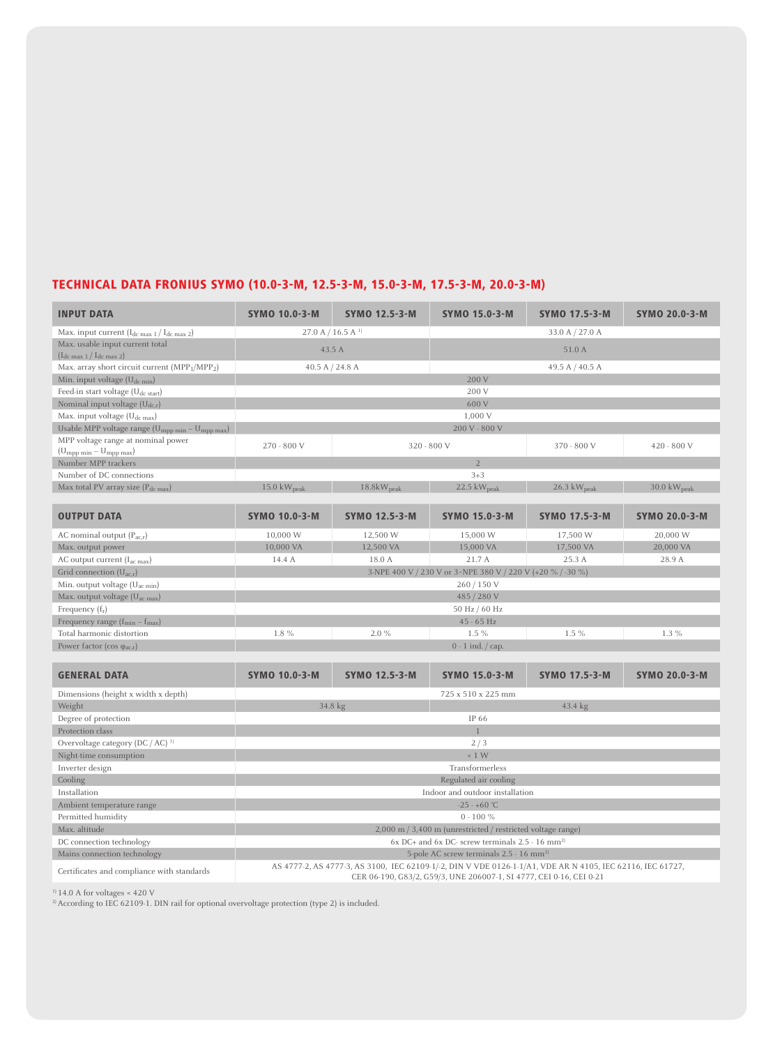## TECHNICAL DATA FRONIUS SYMO (10.0-3-M, 12.5-3-M, 15.0-3-M, 17.5-3-M, 20.0-3-M)

| <b>INPUT DATA</b>                                                   | <b>SYMO 10.0-3-M</b>                                                                                                                                                              | <b>SYMO 12.5-3-M</b>         | <b>SYMO 15.0-3-M</b>                                            | <b>SYMO 17.5-3-M</b>            | <b>SYMO 20.0-3-M</b>            |  |
|---------------------------------------------------------------------|-----------------------------------------------------------------------------------------------------------------------------------------------------------------------------------|------------------------------|-----------------------------------------------------------------|---------------------------------|---------------------------------|--|
| Max. input current (I <sub>dc max 1</sub> / I <sub>dc max 2</sub> ) | 27.0 A / 16.5 A $^{1}$                                                                                                                                                            |                              |                                                                 | 33.0 A / 27.0 A                 |                                 |  |
| Max. usable input current total<br>$(I_{dc \max 1}/I_{dc \max 2})$  |                                                                                                                                                                                   | 51.0 A<br>43.5 A             |                                                                 |                                 |                                 |  |
| Max. array short circuit current $(MPP1/MPP2)$                      | 40.5 A $/$ 24.8 A                                                                                                                                                                 |                              |                                                                 | 49.5 A / 40.5 A                 |                                 |  |
| Min. input voltage $(U_{dc,min})$                                   |                                                                                                                                                                                   |                              | 200 V                                                           |                                 |                                 |  |
| Feed-in start voltage (U <sub>dc start</sub> )                      |                                                                                                                                                                                   |                              | 200 V                                                           |                                 |                                 |  |
| Nominal input voltage $(U_{dc,r})$                                  |                                                                                                                                                                                   |                              | 600 V                                                           |                                 |                                 |  |
| Max. input voltage $(U_{dc \, max})$                                |                                                                                                                                                                                   |                              | 1,000 V                                                         |                                 |                                 |  |
| Usable MPP voltage range ( $U_{mpp\,min} - U_{mpp\,max}$ )          |                                                                                                                                                                                   |                              | 200 V - 800 V                                                   |                                 |                                 |  |
| MPP voltage range at nominal power                                  | 270 - 800 V                                                                                                                                                                       |                              | 320 - 800 V                                                     | 370 - 800 V                     | 420 - 800 V                     |  |
| $(U_{mpp \ min} - U_{mpp \ max})$                                   |                                                                                                                                                                                   |                              |                                                                 |                                 |                                 |  |
| Number MPP trackers                                                 |                                                                                                                                                                                   |                              | $\overline{2}$                                                  |                                 |                                 |  |
| Number of DC connections                                            |                                                                                                                                                                                   |                              | $3 + 3$                                                         |                                 |                                 |  |
| Max total PV array size (Pdc max)                                   | $15.0 \text{ kW}_{\text{peak}}$                                                                                                                                                   | $18.8 \text{kW}_\text{peak}$ | 22.5 kWpeak                                                     | $26.3 \text{ kW}_{\text{peak}}$ | $30.0 \text{ kW}_{\text{peak}}$ |  |
| <b>OUTPUT DATA</b>                                                  | <b>SYMO 10.0-3-M</b>                                                                                                                                                              | <b>SYMO 12.5-3-M</b>         | <b>SYMO 15.0-3-M</b>                                            | <b>SYMO 17.5-3-M</b>            | <b>SYMO 20.0-3-M</b>            |  |
| AC nominal output $(P_{ac,r})$                                      | 10,000 W                                                                                                                                                                          | 12,500 W                     | 15,000 W                                                        | 17,500 W                        | 20,000 W                        |  |
| Max. output power                                                   | 10,000 VA                                                                                                                                                                         | 12,500 VA                    | 15,000 VA                                                       | 17,500 VA                       | 20,000 VA                       |  |
| AC output current $(I_{ac\ max})$                                   | 14.4 A                                                                                                                                                                            | 18.0 A                       | 21.7 A                                                          | 25.3 A                          | 28.9 A                          |  |
| Grid connection $(U_{ac,r})$                                        | 3-NPE 400 V / 230 V or 3~NPE 380 V / 220 V (+20 % / -30 %)                                                                                                                        |                              |                                                                 |                                 |                                 |  |
| Min. output voltage $(U_{ac,min})$                                  | 260 / 150 V                                                                                                                                                                       |                              |                                                                 |                                 |                                 |  |
| Max. output voltage $(U_{ac max})$                                  | 485 / 280 V                                                                                                                                                                       |                              |                                                                 |                                 |                                 |  |
| Frequency $(f_r)$                                                   |                                                                                                                                                                                   | 50 Hz $/$ 60 Hz              |                                                                 |                                 |                                 |  |
| Frequency range $(f_{min} - f_{max})$                               |                                                                                                                                                                                   |                              | 45 - 65 Hz                                                      |                                 |                                 |  |
| Total harmonic distortion                                           | $1.5\%$<br>$1.3\%$<br>1.8%<br>2.0%<br>$1.5\%$                                                                                                                                     |                              |                                                                 |                                 |                                 |  |
| Power factor ( $cos \varphi_{ac,r}$ )                               | $0 - 1$ ind. $\frac{1}{2}$ cap.                                                                                                                                                   |                              |                                                                 |                                 |                                 |  |
|                                                                     |                                                                                                                                                                                   |                              |                                                                 |                                 |                                 |  |
| <b>GENERAL DATA</b>                                                 | <b>SYMO 10.0-3-M</b>                                                                                                                                                              | <b>SYMO 12.5-3-M</b>         | <b>SYMO 15.0-3-M</b>                                            | <b>SYMO 17.5-3-M</b>            | <b>SYMO 20.0-3-M</b>            |  |
| Dimensions (height x width x depth)                                 |                                                                                                                                                                                   |                              | 725 x 510 x 225 mm                                              |                                 |                                 |  |
| Weight                                                              |                                                                                                                                                                                   | 34.8 kg                      |                                                                 | 43.4 kg                         |                                 |  |
| Degree of protection                                                |                                                                                                                                                                                   |                              | IP 66                                                           |                                 |                                 |  |
| Protection class                                                    |                                                                                                                                                                                   |                              | $\mathbf{1}$                                                    |                                 |                                 |  |
| Overvoltage category (DC / AC) <sup>1)</sup>                        |                                                                                                                                                                                   |                              | 2/3                                                             |                                 |                                 |  |
| Night-time consumption                                              |                                                                                                                                                                                   |                              | ~1 W                                                            |                                 |                                 |  |
| Inverter design                                                     | Transformerless                                                                                                                                                                   |                              |                                                                 |                                 |                                 |  |
| Cooling                                                             |                                                                                                                                                                                   |                              | Regulated air cooling                                           |                                 |                                 |  |
| Installation                                                        |                                                                                                                                                                                   |                              | Indoor and outdoor installation                                 |                                 |                                 |  |
| Ambient temperature range                                           |                                                                                                                                                                                   |                              | $-25 - +60$ °C                                                  |                                 |                                 |  |
| Permitted humidity                                                  |                                                                                                                                                                                   |                              | $0 - 100 \%$                                                    |                                 |                                 |  |
| Max. altitude                                                       |                                                                                                                                                                                   |                              | 2,000 m / 3,400 m (unrestricted / restricted voltage range)     |                                 |                                 |  |
| DC connection technology                                            |                                                                                                                                                                                   |                              | $6x$ DC+ and $6x$ DC- screw terminals 2.5 - 16 mm <sup>2)</sup> |                                 |                                 |  |
| Mains connection technology                                         | 5-pole AC screw terminals 2.5 - 16 mm <sup>2)</sup>                                                                                                                               |                              |                                                                 |                                 |                                 |  |
| Certificates and compliance with standards                          | AS 4777-2, AS 4777-3, AS 3100, IEC 62109-1/-2, DIN V VDE 0126-1-1/A1, VDE AR N 4105, IEC 62116, IEC 61727,<br>CER 06-190, G83/2, G59/3, UNE 206007-1, SI 4777, CEI 0-16, CEI 0-21 |                              |                                                                 |                                 |                                 |  |

 $1$ <sup>1)</sup> 14.0 A for voltages < 420 V

2) According to IEC 62109-1. DIN rail for optional overvoltage protection (type 2) is included.